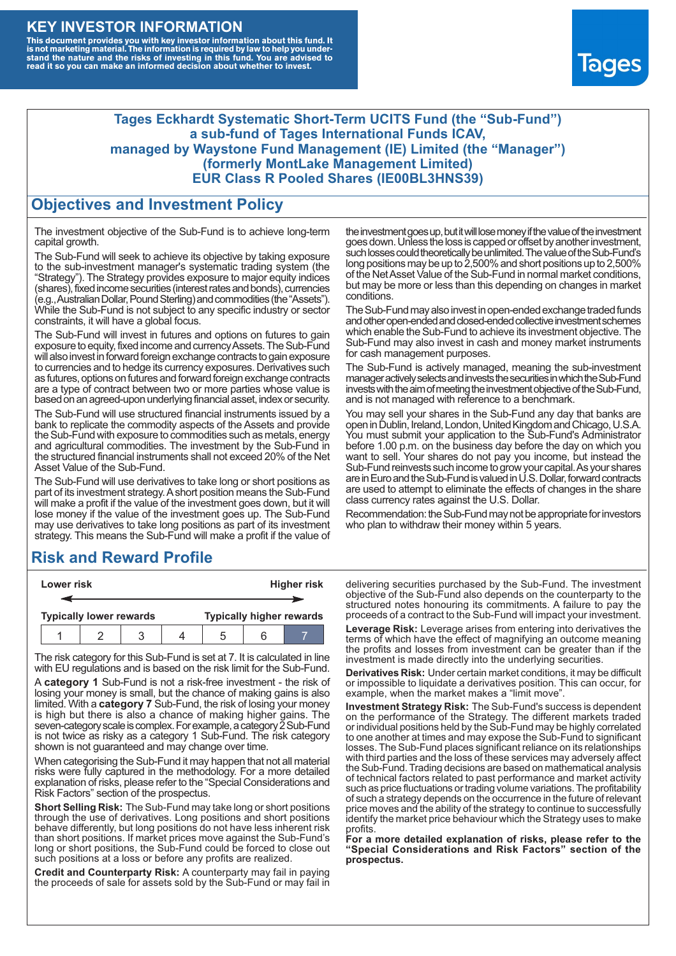### **KEY INVESTOR INFORMATION**

This document provides you with key investor information about this fund. It<br>is not marketing material. The information is required by law to help you under-<br>stand the nature and the risks of investing in this fund. You ar



#### **Tages Eckhardt Systematic Short-Term UCITS Fund (the "Sub-Fund") a sub-fund of Tages International Funds ICAV, managed by Waystone Fund Management (IE) Limited (the "Manager") (formerly MontLake Management Limited) EUR Class R Pooled Shares (IE00BL3HNS39)**

#### **Objectives and Investment Policy**

The investment objective of the Sub-Fund is to achieve long-term capital growth.

The Sub-Fund will seek to achieve its objective by taking exposure to the sub-investment manager's systematic trading system (the "Strategy"). The Strategy provides exposure to major equity indices (shares),fixed income securities (interest rates and bonds), currencies (e.g.,AustralianDollar,PoundSterling)and commodities (the "Assets"). While the Sub-Fund is not subject to any specific industry or sector constraints, it will have a global focus.

The Sub-Fund will invest in futures and options on futures to gain exposure to equity, fixed income and currency Assets. The Sub-Fund will also invest in forward foreign exchange contracts to gain exposure to currencies and to hedge its currency exposures. Derivatives such as futures, options on futures and forward foreign exchange contracts are a type of contract between two or more parties whose value is based on an agreed-upon underlying financial asset, index or security.

The Sub-Fund will use structured financial instruments issued by a bank to replicate the commodity aspects of the Assets and provide the Sub-Fund with exposure to commodities such as metals, energy and agricultural commodities. The investment by the Sub-Fund in the structured financial instruments shall not exceed 20% of the Net Asset Value of the Sub-Fund.

The Sub-Fund will use derivatives to take long or short positions as part of its investment strategy.A short position means the Sub-Fund will make a profit if the value of the investment goes down, but it will lose money if the value of the investment goes up. The Sub-Fund may use derivatives to take long positions as part of its investment strategy. This means the Sub-Fund will make a profit if the value of

## **Risk and Reward Profile**

| Lower risk |  |                                |  |  | <b>Higher risk</b> |  |                                 |
|------------|--|--------------------------------|--|--|--------------------|--|---------------------------------|
|            |  |                                |  |  |                    |  |                                 |
|            |  | <b>Typically lower rewards</b> |  |  |                    |  | <b>Typically higher rewards</b> |
|            |  |                                |  |  | .5                 |  |                                 |

The risk category for this Sub-Fund is set at 7. It is calculated in line with EU regulations and is based on the risk limit for the Sub-Fund.

A **category 1** Sub-Fund is not a risk-free investment - the risk of losing your money is small, but the chance of making gains is also limited. With a **category 7** Sub-Fund, the risk of losing your money is high but there is also a chance of making higher gains. The seven-category scale is complex. For example, a category 2 Sub-Fund is not twice as risky as a category 1 Sub-Fund. The risk category shown is not guaranteed and may change over time.

When categorising the Sub-Fund it may happen that not all material risks were fully captured in the methodology. For a more detailed explanation of risks, please refer to the "Special Considerations and Risk Factors" section of the prospectus.

**Short Selling Risk:** The Sub-Fund may take long or short positions through the use of derivatives. Long positions and short positions behave differently, but long positions do not have less inherent risk than short positions. If market prices move against the Sub-Fund's long or short positions, the Sub-Fund could be forced to close out such positions at a loss or before any profits are realized.

**Credit and Counterparty Risk:** A counterparty may fail in paying the proceeds of sale for assets sold by the Sub-Fund or may fail in the investment goes up, but it will lose money if the value of the investment goes down. Unlessthe loss is capped or offset by another investment, such losses could theoretically be unlimited. The value of the Sub-Fund's long positions may be up to  $2,500\%$  and short positions up to  $2,500\%$ of the NetAsset Value of the Sub-Fund in normal market conditions, but may be more or less than this depending on changes in market conditions.

The Sub-Fund may also invest in open-ended exchange traded funds and other open-ended and closed-ended collective investment schemes which enable the Sub-Fund to achieve its investment objective. The Sub-Fund may also invest in cash and money market instruments for cash management purposes.

The Sub-Fund is actively managed, meaning the sub-investment manager actively selects and invests the securities in which the Sub-Fund invests with the aim of meeting the investment objective of the Sub-Fund, and is not managed with reference to a benchmark.

You may sell your shares in the Sub-Fund any day that banks are open in Dublin, Ireland, London, United Kingdom and Chicago, U.S.A. You must submit your application to the Sub-Fund's Administrator before 1.00 p.m. on the business day before the day on which you want to sell. Your shares do not pay you income, but instead the Sub-Fund reinvests such income to grow your capital. As your shares are in Euro and the Sub-Fund is valued in U.S. Dollar, forward contracts are used to attempt to eliminate the effects of changes in the share class currency rates against the U.S. Dollar.

Recommendation: the Sub-Fund may not be appropriate for investors who plan to withdraw their money within 5 years.

delivering securities purchased by the Sub-Fund. The investment objective of the Sub-Fund also depends on the counterparty to the structured notes honouring its commitments. A failure to pay the proceeds of a contract to the Sub-Fund will impact your investment.

**Leverage Risk:** Leverage arises from entering into derivatives the terms of which have the effect of magnifying an outcome meaning the profits and losses from investment can be greater than if the investment is made directly into the underlying securities.

**Derivatives Risk:** Under certain market conditions, it may be difficult or impossible to liquidate a derivatives position. This can occur, for example, when the market makes a "limit move".

**Investment Strategy Risk:** The Sub-Fund's success is dependent on the performance of the Strategy. The different markets traded or individual positions held by the Sub-Fund may be highly correlated to one another at times and may expose the Sub-Fund to significant losses. The Sub-Fund places significant reliance on its relationships with third parties and the loss of these services may adversely affect the Sub-Fund. Trading decisions are based on mathematical analysis of technical factors related to past performance and market activity such as price fluctuations or trading volume variations. The profitability of such a strategy depends on the occurrence in the future of relevant price moves and the ability of the strategy to continue to successfully identify the market price behaviour which the Strategy uses to make profits.

**For a more detailed explanation of risks, please refer to the "Special Considerations and Risk Factors" section of the prospectus.**